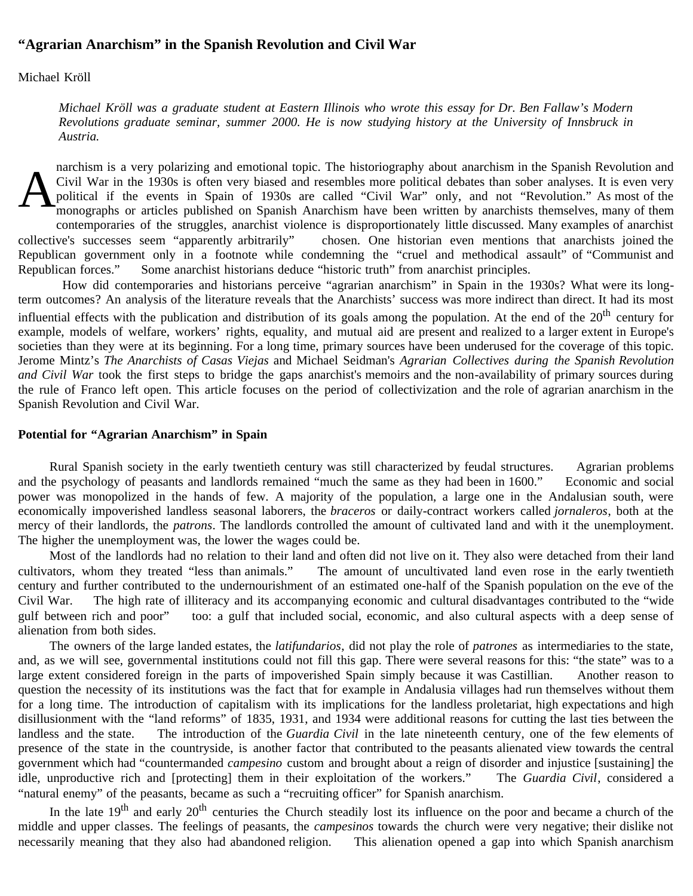## **"Agrarian Anarchism" in the Spanish Revolution and Civil War**

Michael Kröll

*Michael Kröll was a graduate student at Eastern Illinois who wrote this essay for Dr. Ben Fallaw's Modern Revolutions graduate seminar, summer 2000. He is now studying history at the University of Innsbruck in Austria.*

A narchism is a very polarizing and emotional topic. The historiography about anarchism in the Spanish Revolution and Civil War in the 1930s is often very biased and resembles more political debates than sober analyses. It is even very political if the events in Spain of 1930s are called "Civil War" only, and not "Revolution." As most of the monographs or articles published on Spanish Anarchism have been written by anarchists themselves, many of them contemporaries of the struggles, anarchist violence is disproportionately little discussed. Many examples of anarchist collective's successes seem "apparently arbitrarily" chosen. One historian even mentions that anarchists joined the Republican government only in a footnote while condemning the "cruel and methodical assault" of "Communist and Republican forces." Some anarchist historians deduce "historic truth" from anarchist principles.

 How did contemporaries and historians perceive "agrarian anarchism" in Spain in the 1930s? What were its longterm outcomes? An analysis of the literature reveals that the Anarchists' success was more indirect than direct. It had its most influential effects with the publication and distribution of its goals among the population. At the end of the  $20<sup>th</sup>$  century for example, models of welfare, workers' rights, equality, and mutual aid are present and realized to a larger extent in Europe's societies than they were at its beginning. For a long time, primary sources have been underused for the coverage of this topic. Jerome Mintz's *The Anarchists of Casas Viejas* and Michael Seidman's *Agrarian Collectives during the Spanish Revolution and Civil War* took the first steps to bridge the gaps anarchist's memoirs and the non-availability of primary sources during the rule of Franco left open. This article focuses on the period of collectivization and the role of agrarian anarchism in the Spanish Revolution and Civil War.

## **Potential for "Agrarian Anarchism" in Spain**

Rural Spanish society in the early twentieth century was still characterized by feudal structures. Agrarian problems and the psychology of peasants and landlords remained "much the same as they had been in 1600." Economic and social power was monopolized in the hands of few. A majority of the population, a large one in the Andalusian south, were economically impoverished landless seasonal laborers, the *braceros* or daily-contract workers called *jornaleros*, both at the mercy of their landlords, the *patrons*. The landlords controlled the amount of cultivated land and with it the unemployment. The higher the unemployment was, the lower the wages could be.

Most of the landlords had no relation to their land and often did not live on it. They also were detached from their land cultivators, whom they treated "less than animals." The amount of uncultivated land even rose in the early twentieth century and further contributed to the undernourishment of an estimated one-half of the Spanish population on the eve of the Civil War. The high rate of illiteracy and its accompanying economic and cultural disadvantages contributed to the "wide gulf between rich and poor" too: a gulf that included social, economic, and also cultural aspects with a deep sense of alienation from both sides.

The owners of the large landed estates, the *latifundarios*, did not play the role of *patrones* as intermediaries to the state, and, as we will see, governmental institutions could not fill this gap. There were several reasons for this: "the state" was to a large extent considered foreign in the parts of impoverished Spain simply because it was Castillian. Another reason to question the necessity of its institutions was the fact that for example in Andalusia villages had run themselves without them for a long time. The introduction of capitalism with its implications for the landless proletariat, high expectations and high disillusionment with the "land reforms" of 1835, 1931, and 1934 were additional reasons for cutting the last ties between the landless and the state. The introduction of the *Guardia Civil* in the late nineteenth century, one of the few elements of presence of the state in the countryside, is another factor that contributed to the peasants alienated view towards the central government which had "countermanded *campesino* custom and brought about a reign of disorder and injustice [sustaining] the idle, unproductive rich and [protecting] them in their exploitation of the workers." The *Guardia Civil*, considered a "natural enemy" of the peasants, became as such a "recruiting officer" for Spanish anarchism.

In the late  $19<sup>th</sup>$  and early  $20<sup>th</sup>$  centuries the Church steadily lost its influence on the poor and became a church of the middle and upper classes. The feelings of peasants, the *campesinos* towards the church were very negative; their dislike not necessarily meaning that they also had abandoned religion. This alienation opened a gap into which Spanish anarchism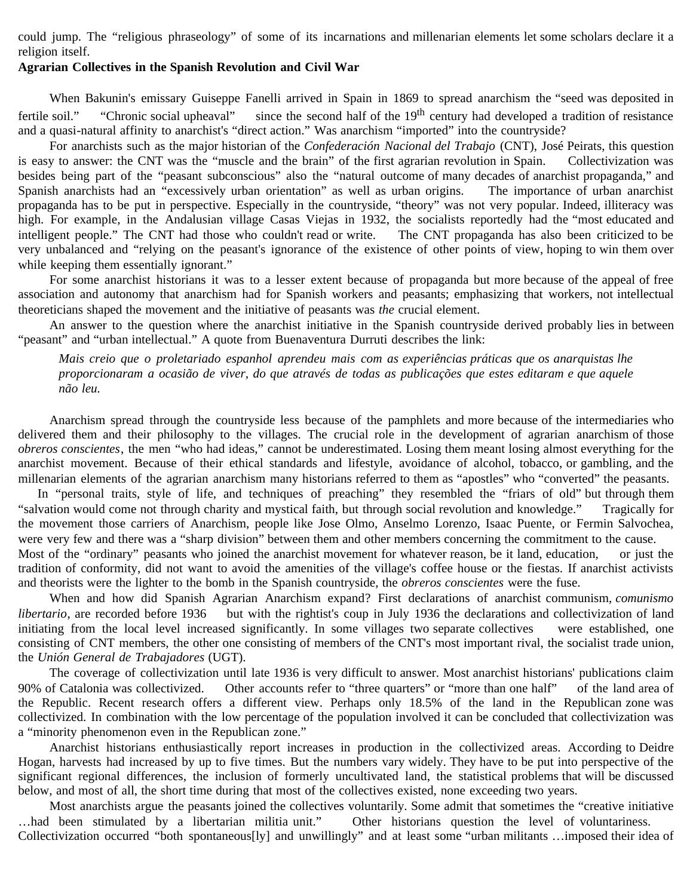could jump. The "religious phraseology" of some of its incarnations and millenarian elements let some scholars declare it a religion itself.

## **Agrarian Collectives in the Spanish Revolution and Civil War**

When Bakunin's emissary Guiseppe Fanelli arrived in Spain in 1869 to spread anarchism the "seed was deposited in fertile soil." "Chronic social upheaval" since the second half of the  $19<sup>th</sup>$  century had developed a tradition of resistance and a quasi-natural affinity to anarchist's "direct action." Was anarchism "imported" into the countryside?

For anarchists such as the major historian of the *Confederación Nacional del Trabajo* (CNT), José Peirats, this question is easy to answer: the CNT was the "muscle and the brain" of the first agrarian revolution in Spain. Collectivization was besides being part of the "peasant subconscious" also the "natural outcome of many decades of anarchist propaganda," and Spanish anarchists had an "excessively urban orientation" as well as urban origins. The importance of urban anarchist propaganda has to be put in perspective. Especially in the countryside, "theory" was not very popular. Indeed, illiteracy was high. For example, in the Andalusian village Casas Viejas in 1932, the socialists reportedly had the "most educated and intelligent people." The CNT had those who couldn't read or write. The CNT propaganda has also been criticized to be very unbalanced and "relying on the peasant's ignorance of the existence of other points of view, hoping to win them over while keeping them essentially ignorant."

For some anarchist historians it was to a lesser extent because of propaganda but more because of the appeal of free association and autonomy that anarchism had for Spanish workers and peasants; emphasizing that workers, not intellectual theoreticians shaped the movement and the initiative of peasants was *the* crucial element.

An answer to the question where the anarchist initiative in the Spanish countryside derived probably lies in between "peasant" and "urban intellectual." A quote from Buenaventura Durruti describes the link:

*Mais creio que o proletariado espanhol aprendeu mais com as experiências práticas que os anarquistas lhe proporcionaram a ocasião de viver, do que através de todas as publicações que estes editaram e que aquele não leu.*

Anarchism spread through the countryside less because of the pamphlets and more because of the intermediaries who delivered them and their philosophy to the villages. The crucial role in the development of agrarian anarchism of those *obreros conscientes*, the men "who had ideas," cannot be underestimated. Losing them meant losing almost everything for the anarchist movement. Because of their ethical standards and lifestyle, avoidance of alcohol, tobacco, or gambling, and the millenarian elements of the agrarian anarchism many historians referred to them as "apostles" who "converted" the peasants.

In "personal traits, style of life, and techniques of preaching" they resembled the "friars of old" but through them "salvation would come not through charity and mystical faith, but through social revolution and knowledge." Tragically for the movement those carriers of Anarchism, people like Jose Olmo, Anselmo Lorenzo, Isaac Puente, or Fermin Salvochea, were very few and there was a "sharp division" between them and other members concerning the commitment to the cause. Most of the "ordinary" peasants who joined the anarchist movement for whatever reason, be it land, education, or just the tradition of conformity, did not want to avoid the amenities of the village's coffee house or the fiestas. If anarchist activists and theorists were the lighter to the bomb in the Spanish countryside, the *obreros conscientes* were the fuse.

When and how did Spanish Agrarian Anarchism expand? First declarations of anarchist communism, *comunismo libertario*, are recorded before 1936 but with the rightist's coup in July 1936 the declarations and collectivization of land initiating from the local level increased significantly. In some villages two separate collectives were established, one consisting of CNT members, the other one consisting of members of the CNT's most important rival, the socialist trade union, the *Unión General de Trabajadores* (UGT).

The coverage of collectivization until late 1936 is very difficult to answer. Most anarchist historians' publications claim 90% of Catalonia was collectivized. Other accounts refer to "three quarters" or "more than one half" of the land area of the Republic. Recent research offers a different view. Perhaps only 18.5% of the land in the Republican zone was collectivized. In combination with the low percentage of the population involved it can be concluded that collectivization was a "minority phenomenon even in the Republican zone."

Anarchist historians enthusiastically report increases in production in the collectivized areas. According to Deidre Hogan, harvests had increased by up to five times. But the numbers vary widely. They have to be put into perspective of the significant regional differences, the inclusion of formerly uncultivated land, the statistical problems that will be discussed below, and most of all, the short time during that most of the collectives existed, none exceeding two years.

Most anarchists argue the peasants joined the collectives voluntarily. Some admit that sometimes the "creative initiative …had been stimulated by a libertarian militia unit." Other historians question the level of voluntariness. Collectivization occurred "both spontaneous[ly] and unwillingly" and at least some "urban militants …imposed their idea of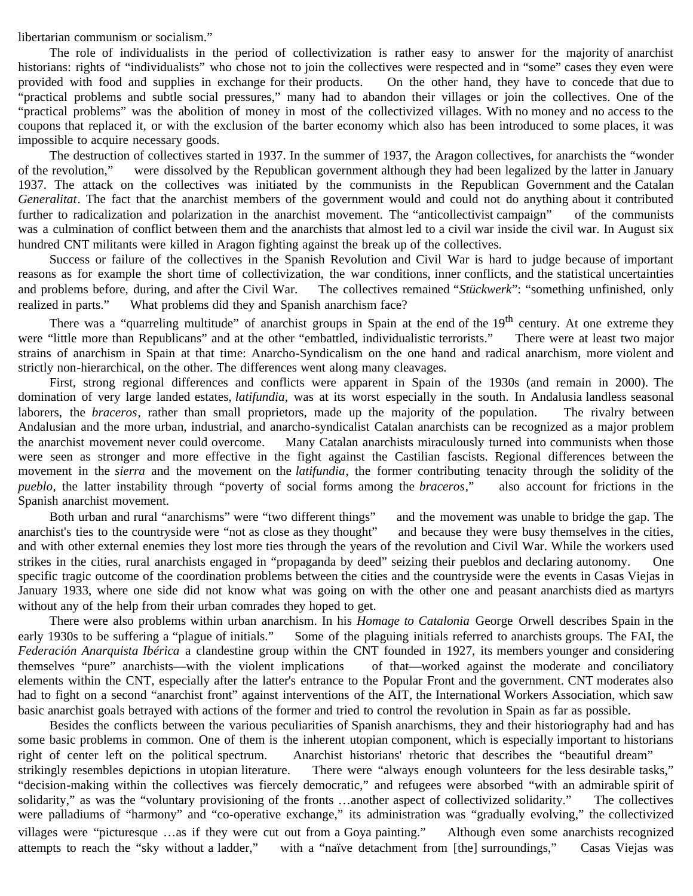libertarian communism or socialism."

The role of individualists in the period of collectivization is rather easy to answer for the majority of anarchist historians: rights of "individualists" who chose not to join the collectives were respected and in "some" cases they even were provided with food and supplies in exchange for their products. On the other hand, they have to concede that due to "practical problems and subtle social pressures," many had to abandon their villages or join the collectives. One of the "practical problems" was the abolition of money in most of the collectivized villages. With no money and no access to the coupons that replaced it, or with the exclusion of the barter economy which also has been introduced to some places, it was impossible to acquire necessary goods.

The destruction of collectives started in 1937. In the summer of 1937, the Aragon collectives, for anarchists the "wonder of the revolution," were dissolved by the Republican government although they had been legalized by the latter in January 1937. The attack on the collectives was initiated by the communists in the Republican Government and the Catalan *Generalitat*. The fact that the anarchist members of the government would and could not do anything about it contributed further to radicalization and polarization in the anarchist movement. The "anticollectivist campaign" of the communists was a culmination of conflict between them and the anarchists that almost led to a civil war inside the civil war. In August six hundred CNT militants were killed in Aragon fighting against the break up of the collectives.

Success or failure of the collectives in the Spanish Revolution and Civil War is hard to judge because of important reasons as for example the short time of collectivization, the war conditions, inner conflicts, and the statistical uncertainties and problems before, during, and after the Civil War. The collectives remained "*Stückwerk*": "something unfinished, only realized in parts." What problems did they and Spanish anarchism face?

There was a "quarreling multitude" of anarchist groups in Spain at the end of the 19<sup>th</sup> century. At one extreme they were "little more than Republicans" and at the other "embattled, individualistic terrorists." There were at least two major strains of anarchism in Spain at that time: Anarcho-Syndicalism on the one hand and radical anarchism, more violent and strictly non-hierarchical, on the other. The differences went along many cleavages.

First, strong regional differences and conflicts were apparent in Spain of the 1930s (and remain in 2000). The domination of very large landed estates, *latifundia,* was at its worst especially in the south. In Andalusia landless seasonal laborers, the *braceros*, rather than small proprietors, made up the majority of the population. The rivalry between Andalusian and the more urban, industrial, and anarcho-syndicalist Catalan anarchists can be recognized as a major problem the anarchist movement never could overcome. Many Catalan anarchists miraculously turned into communists when those were seen as stronger and more effective in the fight against the Castilian fascists. Regional differences between the movement in the *sierra* and the movement on the *latifundia*, the former contributing tenacity through the solidity of the *pueblo*, the latter instability through "poverty of social forms among the *braceros*," also account for frictions in the Spanish anarchist movement.

Both urban and rural "anarchisms" were "two different things" and the movement was unable to bridge the gap. The anarchist's ties to the countryside were "not as close as they thought" and because they were busy themselves in the cities, and with other external enemies they lost more ties through the years of the revolution and Civil War. While the workers used strikes in the cities, rural anarchists engaged in "propaganda by deed" seizing their pueblos and declaring autonomy. One specific tragic outcome of the coordination problems between the cities and the countryside were the events in Casas Viejas in January 1933, where one side did not know what was going on with the other one and peasant anarchists died as martyrs without any of the help from their urban comrades they hoped to get.

There were also problems within urban anarchism. In his *Homage to Catalonia* George Orwell describes Spain in the early 1930s to be suffering a "plague of initials." Some of the plaguing initials referred to anarchists groups. The FAI, the *Federación Anarquista Ibérica* a clandestine group within the CNT founded in 1927, its members younger and considering themselves "pure" anarchists—with the violent implications of that—worked against the moderate and conciliatory elements within the CNT, especially after the latter's entrance to the Popular Front and the government. CNT moderates also had to fight on a second "anarchist front" against interventions of the AIT, the International Workers Association, which saw basic anarchist goals betrayed with actions of the former and tried to control the revolution in Spain as far as possible.

Besides the conflicts between the various peculiarities of Spanish anarchisms, they and their historiography had and has some basic problems in common. One of them is the inherent utopian component, which is especially important to historians right of center left on the political spectrum. Anarchist historians' rhetoric that describes the "beautiful dream" strikingly resembles depictions in utopian literature. There were "always enough volunteers for the less desirable tasks," "decision-making within the collectives was fiercely democratic," and refugees were absorbed "with an admirable spirit of solidarity," as was the "voluntary provisioning of the fronts …another aspect of collectivized solidarity." The collectives were palladiums of "harmony" and "co-operative exchange," its administration was "gradually evolving," the collectivized villages were "picturesque …as if they were cut out from a Goya painting." Although even some anarchists recognized attempts to reach the "sky without a ladder," with a "naïve detachment from [the] surroundings," Casas Viejas was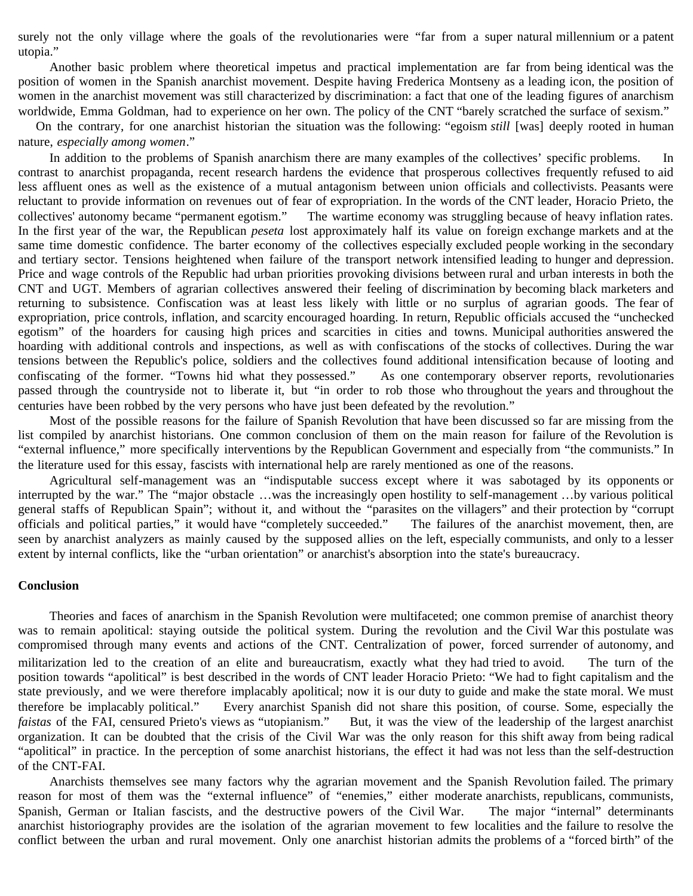surely not the only village where the goals of the revolutionaries were "far from a super natural millennium or a patent utopia."

Another basic problem where theoretical impetus and practical implementation are far from being identical was the position of women in the Spanish anarchist movement. Despite having Frederica Montseny as a leading icon, the position of women in the anarchist movement was still characterized by discrimination: a fact that one of the leading figures of anarchism worldwide, Emma Goldman, had to experience on her own. The policy of the CNT "barely scratched the surface of sexism."

On the contrary, for one anarchist historian the situation was the following: "egoism *still* [was] deeply rooted in human nature, *especially among women*."

In addition to the problems of Spanish anarchism there are many examples of the collectives' specific problems. In contrast to anarchist propaganda, recent research hardens the evidence that prosperous collectives frequently refused to aid less affluent ones as well as the existence of a mutual antagonism between union officials and collectivists. Peasants were reluctant to provide information on revenues out of fear of expropriation. In the words of the CNT leader, Horacio Prieto, the collectives' autonomy became "permanent egotism." The wartime economy was struggling because of heavy inflation rates. In the first year of the war, the Republican *peseta* lost approximately half its value on foreign exchange markets and at the same time domestic confidence. The barter economy of the collectives especially excluded people working in the secondary and tertiary sector. Tensions heightened when failure of the transport network intensified leading to hunger and depression. Price and wage controls of the Republic had urban priorities provoking divisions between rural and urban interests in both the CNT and UGT. Members of agrarian collectives answered their feeling of discrimination by becoming black marketers and returning to subsistence. Confiscation was at least less likely with little or no surplus of agrarian goods. The fear of expropriation, price controls, inflation, and scarcity encouraged hoarding. In return, Republic officials accused the "unchecked egotism" of the hoarders for causing high prices and scarcities in cities and towns. Municipal authorities answered the hoarding with additional controls and inspections, as well as with confiscations of the stocks of collectives. During the war tensions between the Republic's police, soldiers and the collectives found additional intensification because of looting and confiscating of the former. "Towns hid what they possessed." As one contemporary observer reports, revolutionaries passed through the countryside not to liberate it, but "in order to rob those who throughout the years and throughout the centuries have been robbed by the very persons who have just been defeated by the revolution."

Most of the possible reasons for the failure of Spanish Revolution that have been discussed so far are missing from the list compiled by anarchist historians. One common conclusion of them on the main reason for failure of the Revolution is "external influence," more specifically interventions by the Republican Government and especially from "the communists." In the literature used for this essay, fascists with international help are rarely mentioned as one of the reasons.

Agricultural self-management was an "indisputable success except where it was sabotaged by its opponents or interrupted by the war." The "major obstacle …was the increasingly open hostility to self-management …by various political general staffs of Republican Spain"; without it, and without the "parasites on the villagers" and their protection by "corrupt officials and political parties," it would have "completely succeeded." The failures of the anarchist movement, then, are seen by anarchist analyzers as mainly caused by the supposed allies on the left, especially communists, and only to a lesser extent by internal conflicts, like the "urban orientation" or anarchist's absorption into the state's bureaucracy.

## **Conclusion**

Theories and faces of anarchism in the Spanish Revolution were multifaceted; one common premise of anarchist theory was to remain apolitical: staying outside the political system. During the revolution and the Civil War this postulate was compromised through many events and actions of the CNT. Centralization of power, forced surrender of autonomy, and militarization led to the creation of an elite and bureaucratism, exactly what they had tried to avoid. The turn of the position towards "apolitical" is best described in the words of CNT leader Horacio Prieto: "We had to fight capitalism and the state previously, and we were therefore implacably apolitical; now it is our duty to guide and make the state moral. We must therefore be implacably political." Every anarchist Spanish did not share this position, of course. Some, especially the *faistas* of the FAI, censured Prieto's views as "utopianism." But, it was the view of the leadership of the largest anarchist organization. It can be doubted that the crisis of the Civil War was the only reason for this shift away from being radical "apolitical" in practice. In the perception of some anarchist historians, the effect it had was not less than the self-destruction of the CNT-FAI.

Anarchists themselves see many factors why the agrarian movement and the Spanish Revolution failed. The primary reason for most of them was the "external influence" of "enemies," either moderate anarchists, republicans, communists, Spanish, German or Italian fascists, and the destructive powers of the Civil War. The major "internal" determinants anarchist historiography provides are the isolation of the agrarian movement to few localities and the failure to resolve the conflict between the urban and rural movement. Only one anarchist historian admits the problems of a "forced birth" of the